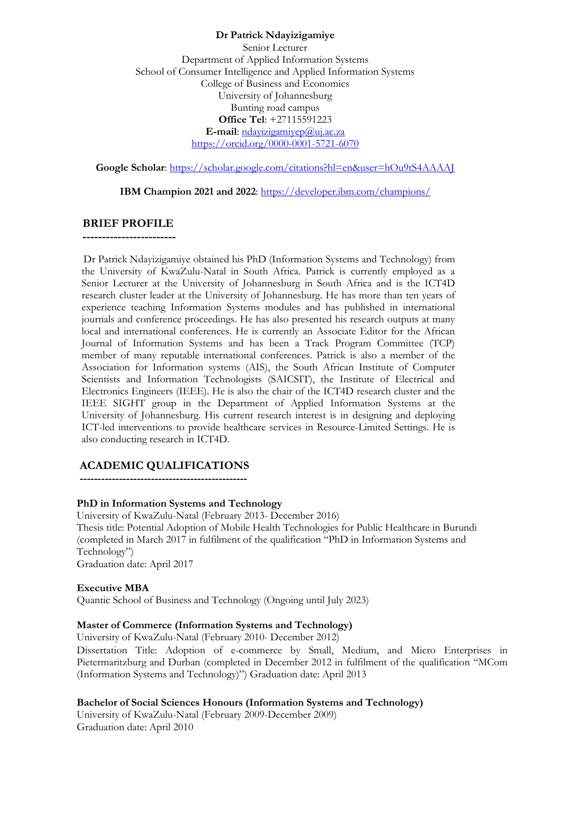#### **Dr Patrick Ndayizigamiye**

Senior Lecturer Department of Applied Information Systems School of Consumer Intelligence and Applied Information Systems College of Business and Economics University of Johannesburg Bunting road campus **Office Tel**: +27115591223 **E-mail**: [ndayizigamiyep@uj.ac.za](mailto:ndayizigamiyep@uj.ac.za) <https://orcid.org/0000-0001-5721-6070>

**Google Scholar**:<https://scholar.google.com/citations?hl=en&user=hOu9tS4AAAAJ>

**IBM Champion 2021 and 2022**:<https://developer.ibm.com/champions/>

#### **BRIEF PROFILE**

**------------------------**

Dr Patrick Ndayizigamiye obtained his PhD (Information Systems and Technology) from the University of KwaZulu-Natal in South Africa. Patrick is currently employed as a Senior Lecturer at the University of Johannesburg in South Africa and is the ICT4D research cluster leader at the University of Johannesburg. He has more than ten years of experience teaching Information Systems modules and has published in international journals and conference proceedings. He has also presented his research outputs at many local and international conferences. He is currently an Associate Editor for the African Journal of Information Systems and has been a Track Program Committee (TCP) member of many reputable international conferences. Patrick is also a member of the Association for Information systems (AIS), the South African Institute of Computer Scientists and Information Technologists (SAICSIT), the Institute of Electrical and Electronics Engineers (IEEE). He is also the chair of the ICT4D research cluster and the IEEE SIGHT group in the Department of Applied Information Systems at the University of Johannesburg. His current research interest is in designing and deploying ICT-led interventions to provide healthcare services in Resource-Limited Settings. He is also conducting research in ICT4D.

# **ACADEMIC QUALIFICATIONS**

**-----------------------------------------------**

## **PhD in Information Systems and Technology**

University of KwaZulu-Natal (February 2013- December 2016) Thesis title: Potential Adoption of Mobile Health Technologies for Public Healthcare in Burundi (completed in March 2017 in fulfilment of the qualification "PhD in Information Systems and Technology") Graduation date: April 2017

#### **Executive MBA**

Quantic School of Business and Technology (Ongoing until July 2023)

#### **Master of Commerce (Information Systems and Technology)**

University of KwaZulu-Natal (February 2010- December 2012)

Dissertation Title: Adoption of e-commerce by Small, Medium, and Micro Enterprises in Pietermaritzburg and Durban (completed in December 2012 in fulfilment of the qualification "MCom (Information Systems and Technology)") Graduation date: April 2013

#### **Bachelor of Social Sciences Honours (Information Systems and Technology)**

University of KwaZulu-Natal (February 2009-December 2009) Graduation date: April 2010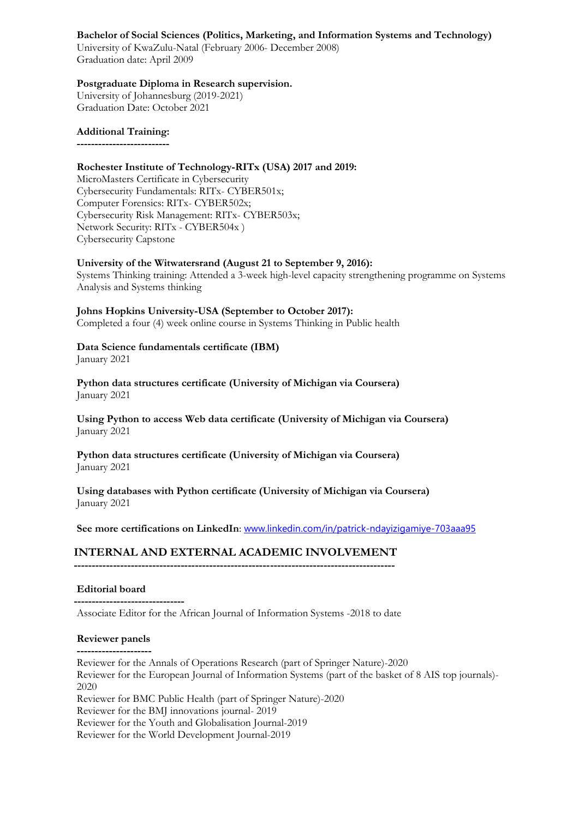# **Bachelor of Social Sciences (Politics, Marketing, and Information Systems and Technology)**

University of KwaZulu-Natal (February 2006- December 2008) Graduation date: April 2009

## **Postgraduate Diploma in Research supervision.**

University of Johannesburg (2019-2021) Graduation Date: October 2021

**Additional Training: --------------------------**

# **Rochester Institute of Technology-RITx (USA) 2017 and 2019:**

MicroMasters Certificate in Cybersecurity Cybersecurity Fundamentals: RITx- CYBER501x; Computer Forensics: RITx- CYBER502x; Cybersecurity Risk Management: RITx- CYBER503x; Network Security: RITx - CYBER504x ) Cybersecurity Capstone

# **University of the Witwatersrand (August 21 to September 9, 2016):**

Systems Thinking training: Attended a 3-week high-level capacity strengthening programme on Systems Analysis and Systems thinking

# **Johns Hopkins University-USA (September to October 2017):**

Completed a four (4) week online course in Systems Thinking in Public health

# **Data Science fundamentals certificate (IBM)**

January 2021

**Python data structures certificate (University of Michigan via Coursera)** January 2021

**Using Python to access Web data certificate (University of Michigan via Coursera)** January 2021

# **Python data structures certificate (University of Michigan via Coursera)** January 2021

**Using databases with Python certificate (University of Michigan via Coursera)** January 2021

# **See more certifications on LinkedIn**: [www.linkedin.com/in/patrick-ndayizigamiye-703aaa95](http://www.linkedin.com/in/patrick-ndayizigamiye-703aaa95)

# **INTERNAL AND EXTERNAL ACADEMIC INVOLVEMENT**

**------------------------------------------------------------------------------------------**

# **Editorial board**

**-------------------------------** Associate Editor for the African Journal of Information Systems -2018 to date

# **Reviewer panels**

**---------------------**

Reviewer for the Annals of Operations Research (part of Springer Nature)-2020 Reviewer for the European Journal of Information Systems (part of the basket of 8 AIS top journals)- 2020 Reviewer for BMC Public Health (part of Springer Nature)-2020 Reviewer for the BMJ innovations journal- 2019

Reviewer for the Youth and Globalisation Journal-2019

Reviewer for the World Development Journal-2019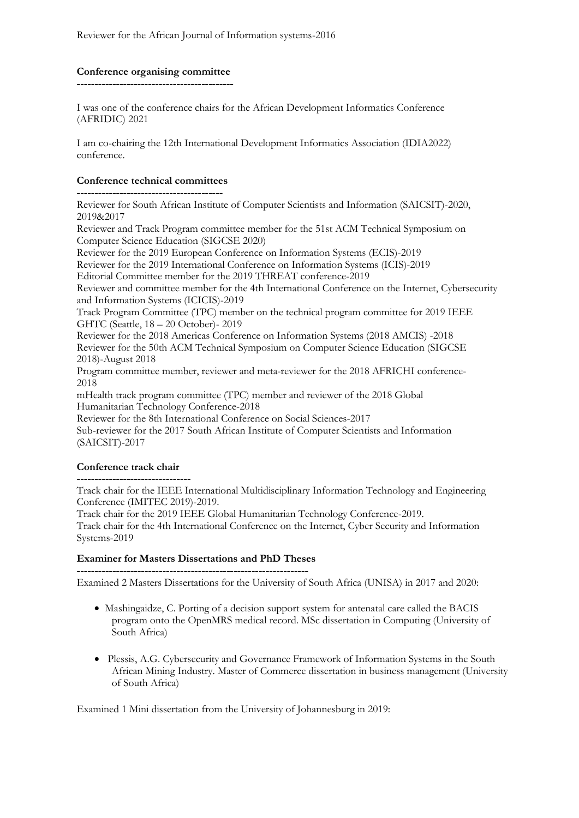## **Conference organising committee --------------------------------------------**

I was one of the conference chairs for the African Development Informatics Conference (AFRIDIC) 2021

I am co-chairing the 12th International Development Informatics Association (IDIA2022) conference.

# **Conference technical committees**

**-----------------------------------------**

Reviewer for South African Institute of Computer Scientists and Information (SAICSIT)-2020, 2019&2017

Reviewer and Track Program committee member for the 51st ACM Technical Symposium on Computer Science Education (SIGCSE 2020)

Reviewer for the 2019 European Conference on Information Systems (ECIS)-2019

Reviewer for the 2019 International Conference on Information Systems (ICIS)-2019

Editorial Committee member for the 2019 THREAT conference-2019

Reviewer and committee member for the 4th International Conference on the Internet, Cybersecurity and Information Systems (ICICIS)-2019

Track Program Committee (TPC) member on the technical program committee for 2019 IEEE GHTC (Seattle, 18 – 20 October)- 2019

Reviewer for the 2018 Americas Conference on Information Systems (2018 AMCIS) -2018 Reviewer for the 50th ACM Technical Symposium on Computer Science Education (SIGCSE 2018)-August 2018

Program committee member, reviewer and meta-reviewer for the 2018 AFRICHI conference-2018

mHealth track program committee (TPC) member and reviewer of the 2018 Global Humanitarian Technology Conference-2018

Reviewer for the 8th International Conference on Social Sciences-2017 Sub-reviewer for the 2017 South African Institute of Computer Scientists and Information

(SAICSIT)-2017

# **Conference track chair**

**--------------------------------**

Track chair for the IEEE International Multidisciplinary Information Technology and Engineering Conference (IMITEC 2019)-2019.

Track chair for the 2019 IEEE Global Humanitarian Technology Conference-2019.

Track chair for the 4th International Conference on the Internet, Cyber Security and Information Systems-2019

# **Examiner for Masters Dissertations and PhD Theses**

**-----------------------------------------------------------------** Examined 2 Masters Dissertations for the University of South Africa (UNISA) in 2017 and 2020:

- Mashingaidze, C. Porting of a decision support system for antenatal care called the BACIS program onto the OpenMRS medical record. MSc dissertation in Computing (University of South Africa)
- Plessis, A.G. Cybersecurity and Governance Framework of Information Systems in the South African Mining Industry. Master of Commerce dissertation in business management (University of South Africa)

Examined 1 Mini dissertation from the University of Johannesburg in 2019: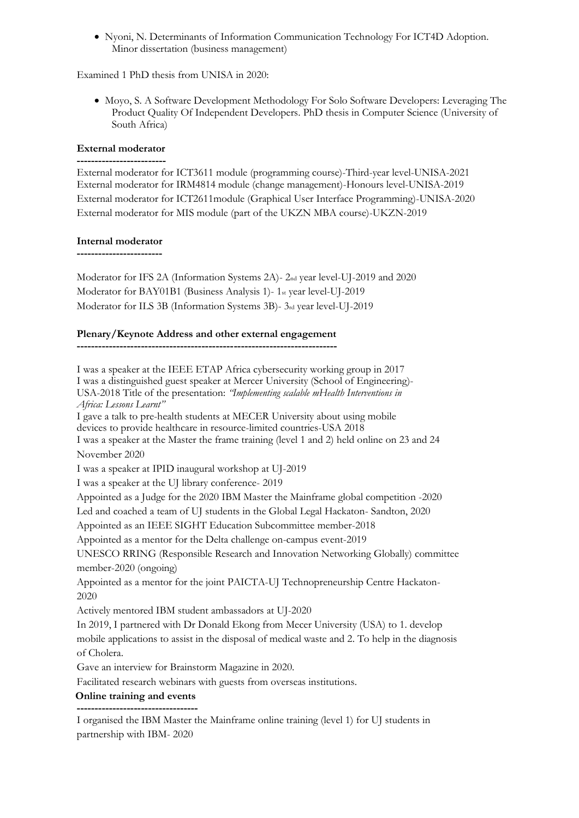• Nyoni, N. Determinants of Information Communication Technology For ICT4D Adoption. Minor dissertation (business management)

Examined 1 PhD thesis from UNISA in 2020:

• Moyo, S. A Software Development Methodology For Solo Software Developers: Leveraging The Product Quality Of Independent Developers. PhD thesis in Computer Science (University of South Africa)

#### **External moderator -------------------------**

External moderator for ICT3611 module (programming course)-Third-year level-UNISA-2021 External moderator for IRM4814 module (change management)-Honours level-UNISA-2019 External moderator for ICT2611module (Graphical User Interface Programming)-UNISA-2020 External moderator for MIS module (part of the UKZN MBA course)-UKZN-2019

#### **Internal moderator**

**------------------------**

Moderator for IFS 2A (Information Systems 2A)- 2nd year level-UJ-2019 and 2020 Moderator for BAY01B1 (Business Analysis 1)- 1st year level-UJ-2019 Moderator for ILS 3B (Information Systems 3B)- 3rd year level-UJ-2019

# **Plenary/Keynote Address and other external engagement**

**-------------------------------------------------------------------------**

I was a speaker at the IEEE ETAP Africa cybersecurity working group in 2017 I was a distinguished guest speaker at Mercer University (School of Engineering)- USA-2018 Title of the presentation: *"Implementing scalable mHealth Interventions in Africa: Lessons Learnt"* I gave a talk to pre-health students at MECER University about using mobile devices to provide healthcare in resource-limited countries-USA 2018 I was a speaker at the Master the frame training (level 1 and 2) held online on 23 and 24 November 2020 I was a speaker at IPID inaugural workshop at UJ-2019 I was a speaker at the UJ library conference- 2019 Appointed as a Judge for the 2020 IBM Master the Mainframe global competition -2020 Led and coached a team of UJ students in the Global Legal Hackaton- Sandton, 2020 Appointed as an IEEE SIGHT Education Subcommittee member-2018 Appointed as a mentor for the Delta challenge on-campus event-2019 UNESCO RRING (Responsible Research and Innovation Networking Globally) committee member-2020 (ongoing) Appointed as a mentor for the joint PAICTA-UJ Technopreneurship Centre Hackaton-2020 Actively mentored IBM student ambassadors at UJ-2020 In 2019, I partnered with Dr Donald Ekong from Mecer University (USA) to 1. develop mobile applications to assist in the disposal of medical waste and 2. To help in the diagnosis of Cholera. Gave an interview for Brainstorm Magazine in 2020. Facilitated research webinars with guests from overseas institutions. **Online training and events ----------------------------------**

I organised the IBM Master the Mainframe online training (level 1) for UJ students in partnership with IBM- 2020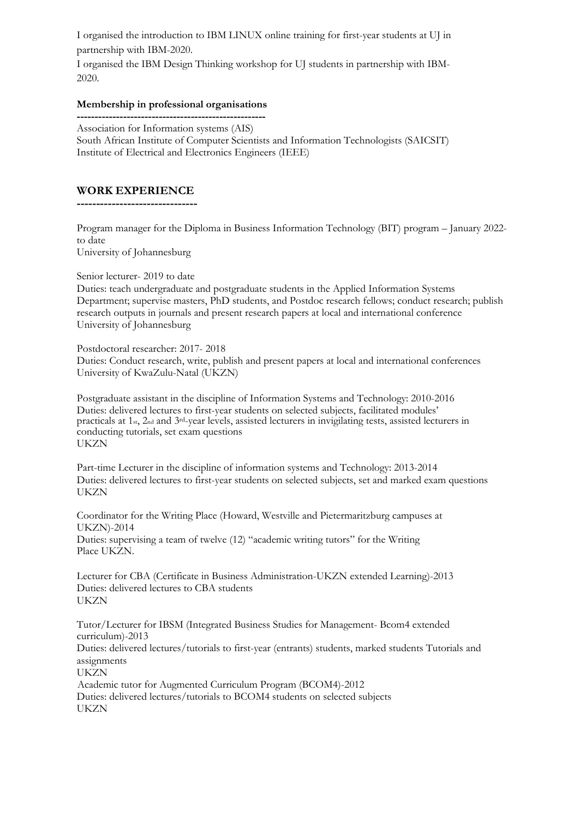I organised the introduction to IBM LINUX online training for first-year students at UJ in partnership with IBM-2020.

I organised the IBM Design Thinking workshop for UJ students in partnership with IBM-2020.

#### **Membership in professional organisations**

**-----------------------------------------------------** Association for Information systems (AIS) South African Institute of Computer Scientists and Information Technologists (SAICSIT) Institute of Electrical and Electronics Engineers (IEEE)

# **WORK EXPERIENCE**

**-------------------------------**

Program manager for the Diploma in Business Information Technology (BIT) program – January 2022 to date

University of Johannesburg

Senior lecturer- 2019 to date

Duties: teach undergraduate and postgraduate students in the Applied Information Systems Department; supervise masters, PhD students, and Postdoc research fellows; conduct research; publish research outputs in journals and present research papers at local and international conference University of Johannesburg

Postdoctoral researcher: 2017- 2018 Duties: Conduct research, write, publish and present papers at local and international conferences University of KwaZulu-Natal (UKZN)

Postgraduate assistant in the discipline of Information Systems and Technology: 2010-2016 Duties: delivered lectures to first-year students on selected subjects, facilitated modules' practicals at 1st, 2nd and 3rd-year levels, assisted lecturers in invigilating tests, assisted lecturers in conducting tutorials, set exam questions **UKZN** 

Part-time Lecturer in the discipline of information systems and Technology: 2013-2014 Duties: delivered lectures to first-year students on selected subjects, set and marked exam questions UKZN

Coordinator for the Writing Place (Howard, Westville and Pietermaritzburg campuses at UKZN)-2014 Duties: supervising a team of twelve (12) "academic writing tutors" for the Writing Place UKZN.

Lecturer for CBA (Certificate in Business Administration-UKZN extended Learning)-2013 Duties: delivered lectures to CBA students **UKZN** 

Tutor/Lecturer for IBSM (Integrated Business Studies for Management- Bcom4 extended curriculum)-2013

Duties: delivered lectures/tutorials to first-year (entrants) students, marked students Tutorials and assignments

UKZN

 Academic tutor for Augmented Curriculum Program (BCOM4)-2012 Duties: delivered lectures/tutorials to BCOM4 students on selected subjects UKZN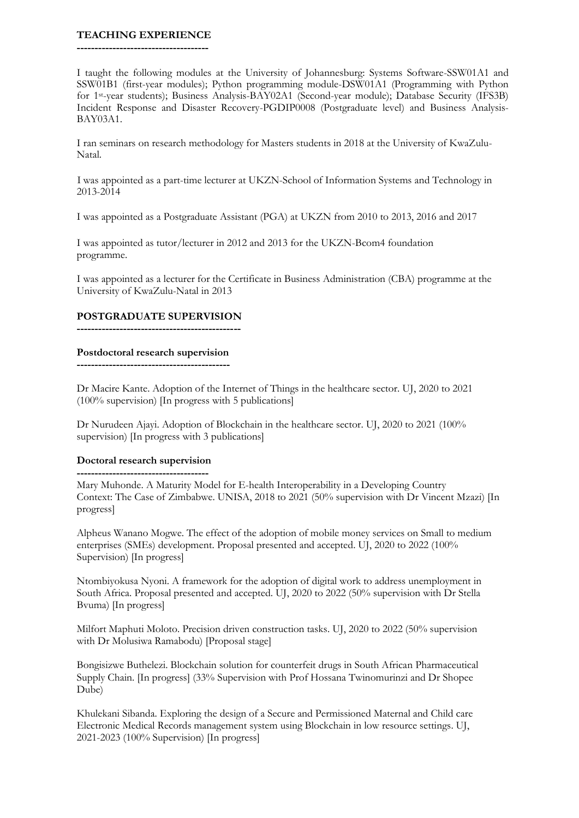#### **TEACHING EXPERIENCE**

**-------------------------------------**

I taught the following modules at the University of Johannesburg: Systems Software-SSW01A1 and SSW01B1 (first-year modules); Python programming module-DSW01A1 (Programming with Python for 1st-year students); Business Analysis-BAY02A1 (Second-year module); Database Security (IFS3B) Incident Response and Disaster Recovery-PGDIP0008 (Postgraduate level) and Business Analysis-BAY03A1.

I ran seminars on research methodology for Masters students in 2018 at the University of KwaZulu-Natal.

I was appointed as a part-time lecturer at UKZN-School of Information Systems and Technology in 2013-2014

I was appointed as a Postgraduate Assistant (PGA) at UKZN from 2010 to 2013, 2016 and 2017

I was appointed as tutor/lecturer in 2012 and 2013 for the UKZN-Bcom4 foundation programme.

I was appointed as a lecturer for the Certificate in Business Administration (CBA) programme at the University of KwaZulu-Natal in 2013

#### **POSTGRADUATE SUPERVISION**

**----------------------------------------------**

#### **Postdoctoral research supervision**

**-------------------------------------------**

Dr Macire Kante. Adoption of the Internet of Things in the healthcare sector. UJ, 2020 to 2021 (100% supervision) [In progress with 5 publications]

Dr Nurudeen Ajayi. Adoption of Blockchain in the healthcare sector. UJ, 2020 to 2021 (100% supervision) [In progress with 3 publications]

# **Doctoral research supervision**

**-------------------------------------** Mary Muhonde. A Maturity Model for E-health Interoperability in a Developing Country Context: The Case of Zimbabwe. UNISA, 2018 to 2021 (50% supervision with Dr Vincent Mzazi) [In progress]

Alpheus Wanano Mogwe. The effect of the adoption of mobile money services on Small to medium enterprises (SMEs) development. Proposal presented and accepted. UJ, 2020 to 2022 (100% Supervision) [In progress]

Ntombiyokusa Nyoni. A framework for the adoption of digital work to address unemployment in South Africa. Proposal presented and accepted. UJ, 2020 to 2022 (50% supervision with Dr Stella Bvuma) [In progress]

Milfort Maphuti Moloto. Precision driven construction tasks. UJ, 2020 to 2022 (50% supervision with Dr Molusiwa Ramabodu) [Proposal stage]

Bongisizwe Buthelezi. Blockchain solution for counterfeit drugs in South African Pharmaceutical Supply Chain. [In progress] (33% Supervision with Prof Hossana Twinomurinzi and Dr Shopee Dube)

Khulekani Sibanda. Exploring the design of a Secure and Permissioned Maternal and Child care Electronic Medical Records management system using Blockchain in low resource settings. UJ, 2021-2023 (100% Supervision) [In progress]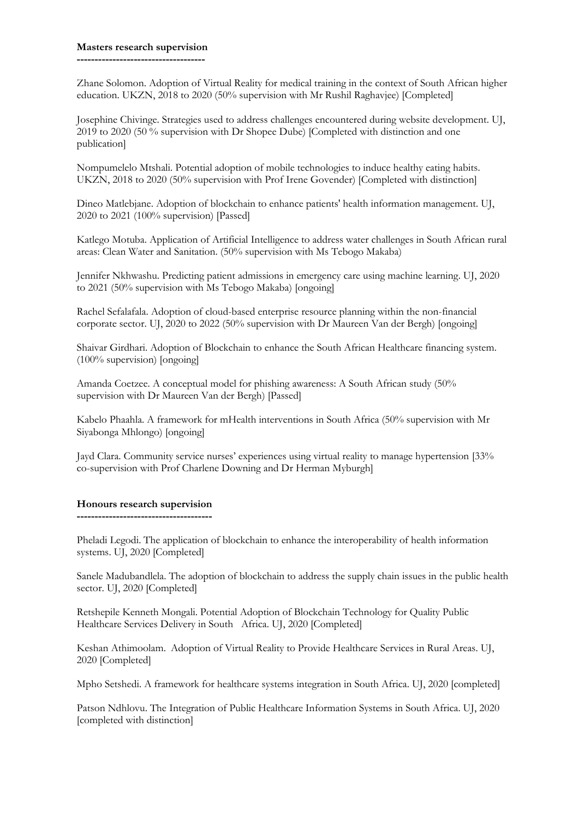#### **Masters research supervision**

**------------------------------------**

Zhane Solomon. Adoption of Virtual Reality for medical training in the context of South African higher education. UKZN, 2018 to 2020 (50% supervision with Mr Rushil Raghavjee) [Completed]

Josephine Chivinge. Strategies used to address challenges encountered during website development. UJ, 2019 to 2020 (50 % supervision with Dr Shopee Dube) [Completed with distinction and one publication]

Nompumelelo Mtshali. Potential adoption of mobile technologies to induce healthy eating habits. UKZN, 2018 to 2020 (50% supervision with Prof Irene Govender) [Completed with distinction]

Dineo Matlebjane. Adoption of blockchain to enhance patients' health information management. UJ, 2020 to 2021 (100% supervision) [Passed]

Katlego Motuba. Application of Artificial Intelligence to address water challenges in South African rural areas: Clean Water and Sanitation. (50% supervision with Ms Tebogo Makaba)

Jennifer Nkhwashu. Predicting patient admissions in emergency care using machine learning. UJ, 2020 to 2021 (50% supervision with Ms Tebogo Makaba) [ongoing]

Rachel Sefalafala. Adoption of cloud-based enterprise resource planning within the non-financial corporate sector. UJ, 2020 to 2022 (50% supervision with Dr Maureen Van der Bergh) [ongoing]

Shaivar Girdhari. Adoption of Blockchain to enhance the South African Healthcare financing system. (100% supervision) [ongoing]

Amanda Coetzee. A conceptual model for phishing awareness: A South African study (50% supervision with Dr Maureen Van der Bergh) [Passed]

Kabelo Phaahla. A framework for mHealth interventions in South Africa (50% supervision with Mr Siyabonga Mhlongo) [ongoing]

Jayd Clara. Community service nurses' experiences using virtual reality to manage hypertension [33% co-supervision with Prof Charlene Downing and Dr Herman Myburgh]

#### **Honours research supervision**

**--------------------------------------**

Pheladi Legodi. The application of blockchain to enhance the interoperability of health information systems. UJ, 2020 [Completed]

Sanele Madubandlela. The adoption of blockchain to address the supply chain issues in the public health sector. UJ, 2020 [Completed]

Retshepile Kenneth Mongali. Potential Adoption of Blockchain Technology for Quality Public Healthcare Services Delivery in South Africa. UJ, 2020 [Completed]

Keshan Athimoolam. Adoption of Virtual Reality to Provide Healthcare Services in Rural Areas. UJ, 2020 [Completed]

Mpho Setshedi. A framework for healthcare systems integration in South Africa. UJ, 2020 [completed]

Patson Ndhlovu. The Integration of Public Healthcare Information Systems in South Africa. UJ, 2020 [completed with distinction]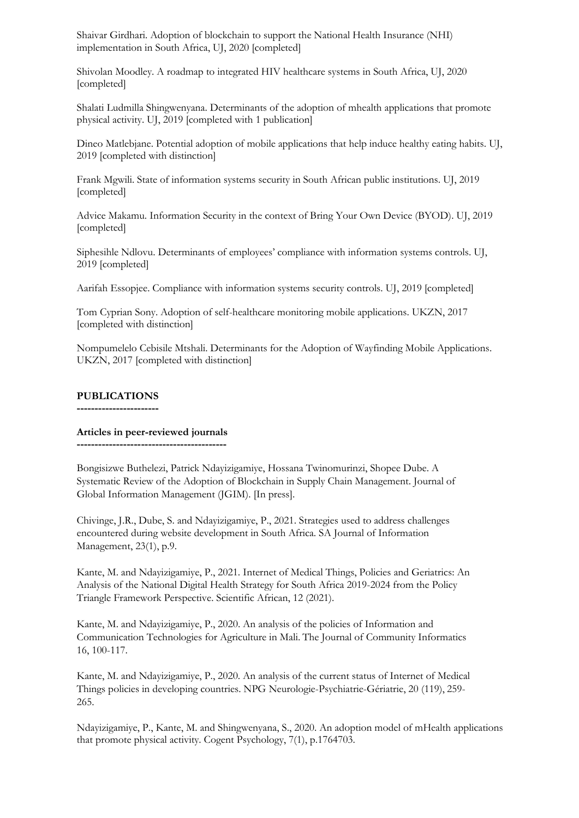Shaivar Girdhari. Adoption of blockchain to support the National Health Insurance (NHI) implementation in South Africa, UJ, 2020 [completed]

Shivolan Moodley. A roadmap to integrated HIV healthcare systems in South Africa, UJ, 2020 [completed]

Shalati Ludmilla Shingwenyana. Determinants of the adoption of mhealth applications that promote physical activity. UJ, 2019 [completed with 1 publication]

Dineo Matlebjane. Potential adoption of mobile applications that help induce healthy eating habits. UJ, 2019 [completed with distinction]

Frank Mgwili. State of information systems security in South African public institutions. UJ, 2019 [completed]

Advice Makamu. Information Security in the context of Bring Your Own Device (BYOD). UJ, 2019 [completed]

Siphesihle Ndlovu. Determinants of employees' compliance with information systems controls. UJ, 2019 [completed]

Aarifah Essopjee. Compliance with information systems security controls. UJ, 2019 [completed]

Tom Cyprian Sony. Adoption of self-healthcare monitoring mobile applications. UKZN, 2017 [completed with distinction]

Nompumelelo Cebisile Mtshali. Determinants for the Adoption of Wayfinding Mobile Applications. UKZN, 2017 [completed with distinction]

#### **PUBLICATIONS**

**-----------------------**

#### **Articles in peer-reviewed journals**

**------------------------------------------**

Bongisizwe Buthelezi, Patrick Ndayizigamiye, Hossana Twinomurinzi, Shopee Dube. A Systematic Review of the Adoption of Blockchain in Supply Chain Management. Journal of Global Information Management (JGIM). [In press].

Chivinge, J.R., Dube, S. and Ndayizigamiye, P., 2021. Strategies used to address challenges encountered during website development in South Africa. SA Journal of Information Management, 23(1), p.9.

Kante, M. and Ndayizigamiye, P., 2021. [Internet of Medical Things, Policies and Geriatrics: An](javascript:void(0))  [Analysis of the National Digital Health Strategy for South Africa 2019-2024 from the Policy](javascript:void(0))  [Triangle Framework Perspective.](javascript:void(0)) Scientific African, 12 (2021).

Kante, M. and Ndayizigamiye, P., 2020. An analysis of the policies of Information and Communication Technologies for Agriculture in Mali. The Journal of Community Informatics 16, 100-117.

Kante, M. and Ndayizigamiye, P., 2020. An analysis of the current status of Internet of Medical Things policies in developing countries. NPG Neurologie-Psychiatrie-Gériatrie, 20 (119), 259- 265.

Ndayizigamiye, P., Kante, M. and Shingwenyana, S., 2020. An adoption model of mHealth applications that promote physical activity. Cogent Psychology, 7(1), p.1764703.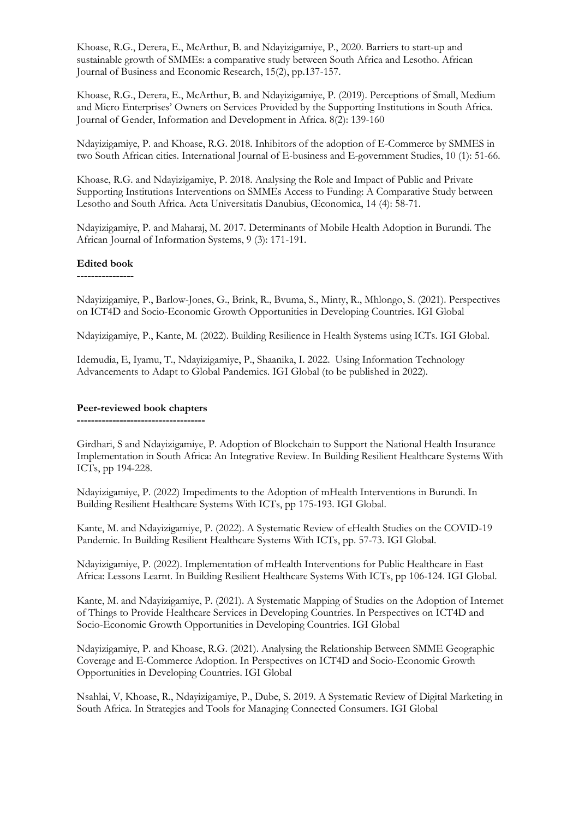Khoase, R.G., Derera, E., McArthur, B. and Ndayizigamiye, P., 2020. Barriers to start-up and sustainable growth of SMMEs: a comparative study between South Africa and Lesotho. African Journal of Business and Economic Research, 15(2), pp.137-157.

Khoase, R.G., Derera, E., McArthur, B. and Ndayizigamiye, P. (2019). Perceptions of Small, Medium and Micro Enterprises' Owners on Services Provided by the Supporting Institutions in South Africa. Journal of Gender, Information and Development in Africa. 8(2): 139-160

Ndayizigamiye, P. and Khoase, R.G. 2018. Inhibitors of the adoption of E-Commerce by SMMES in two South African cities. International Journal of E-business and E-government Studies, 10 (1): 51-66.

Khoase, R.G. and Ndayizigamiye, P. 2018. Analysing the Role and Impact of Public and Private Supporting Institutions Interventions on SMMEs Access to Funding: A Comparative Study between Lesotho and South Africa. Acta Universitatis Danubius, Œconomica, 14 (4): 58-71.

Ndayizigamiye, P. and Maharaj, M. 2017. Determinants of Mobile Health Adoption in Burundi. The African Journal of Information Systems, 9 (3): 171-191.

#### **Edited book**

**----------------**

Ndayizigamiye, P., Barlow-Jones, G., Brink, R., Bvuma, S., Minty, R., Mhlongo, S. (2021). Perspectives on ICT4D and Socio-Economic Growth Opportunities in Developing Countries. IGI Global

Ndayizigamiye, P., Kante, M. (2022). Building Resilience in Health Systems using ICTs. IGI Global.

Idemudia, E, Iyamu, T., Ndayizigamiye, P., Shaanika, I. 2022. Using Information Technology Advancements to Adapt to Global Pandemics. IGI Global (to be published in 2022).

#### **Peer-reviewed book chapters ------------------------------------**

Girdhari, S and Ndayizigamiye, P. Adoption of Blockchain to Support the National Health Insurance Implementation in South Africa: An Integrative Review. In Building Resilient Healthcare Systems With ICTs, pp 194-228.

Ndayizigamiye, P. (2022) Impediments to the Adoption of mHealth Interventions in Burundi. In Building Resilient Healthcare Systems With ICTs, pp 175-193. IGI Global.

Kante, M. and Ndayizigamiye, P. (2022). A Systematic Review of eHealth Studies on the COVID-19 Pandemic. In Building Resilient Healthcare Systems With ICTs, pp. 57-73. IGI Global.

Ndayizigamiye, P. (2022). Implementation of mHealth Interventions for Public Healthcare in East Africa: Lessons Learnt. In Building Resilient Healthcare Systems With ICTs, pp 106-124. IGI Global.

Kante, M. and Ndayizigamiye, P. (2021). A Systematic Mapping of Studies on the Adoption of Internet of Things to Provide Healthcare Services in Developing Countries. In Perspectives on ICT4D and Socio-Economic Growth Opportunities in Developing Countries. IGI Global

Ndayizigamiye, P. and Khoase, R.G. (2021). Analysing the Relationship Between SMME Geographic Coverage and E-Commerce Adoption. In Perspectives on ICT4D and Socio-Economic Growth Opportunities in Developing Countries. IGI Global

Nsahlai, V, Khoase, R., Ndayizigamiye, P., Dube, S. 2019. A Systematic Review of Digital Marketing in South Africa. In Strategies and Tools for Managing Connected Consumers. IGI Global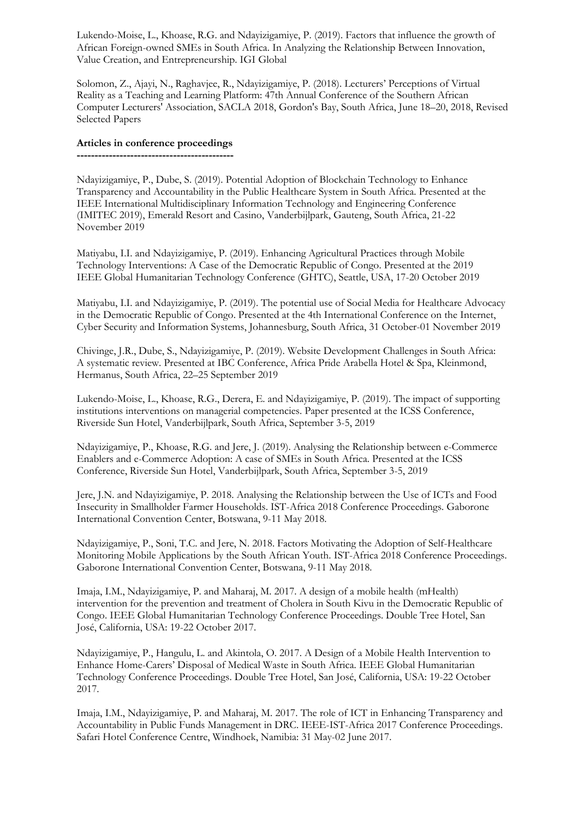Lukendo-Moise, L., Khoase, R.G. and Ndayizigamiye, P. (2019). Factors that influence the growth of African Foreign-owned SMEs in South Africa. In Analyzing the Relationship Between Innovation, Value Creation, and Entrepreneurship. IGI Global

Solomon, Z., Ajayi, N., Raghavjee, R., Ndayizigamiye, P. (2018). Lecturers' Perceptions of Virtual Reality as a Teaching and Learning Platform: 47th Annual Conference of the Southern African Computer Lecturers' Association, SACLA 2018, Gordon's Bay, South Africa, June 18–20, 2018, Revised Selected Papers

#### **Articles in conference proceedings**

**--------------------------------------------**

Ndayizigamiye, P., Dube, S. (2019). Potential Adoption of Blockchain Technology to Enhance Transparency and Accountability in the Public Healthcare System in South Africa. Presented at the IEEE International Multidisciplinary Information Technology and Engineering Conference (IMITEC 2019), Emerald Resort and Casino, Vanderbijlpark, Gauteng, South Africa, 21-22 November 2019

Matiyabu, I.I. and Ndayizigamiye, P. (2019). Enhancing Agricultural Practices through Mobile Technology Interventions: A Case of the Democratic Republic of Congo. Presented at the 2019 IEEE Global Humanitarian Technology Conference (GHTC), Seattle, USA, 17-20 October 2019

Matiyabu, I.I. and Ndayizigamiye, P. (2019). The potential use of Social Media for Healthcare Advocacy in the Democratic Republic of Congo. Presented at the 4th International Conference on the Internet, Cyber Security and Information Systems, Johannesburg, South Africa, 31 October-01 November 2019

Chivinge, J.R., Dube, S., Ndayizigamiye, P. (2019). Website Development Challenges in South Africa: A systematic review. Presented at IBC Conference, Africa Pride Arabella Hotel & Spa, Kleinmond, Hermanus, South Africa, 22–25 September 2019

Lukendo-Moise, L., Khoase, R.G., Derera, E. and Ndayizigamiye, P. (2019). The impact of supporting institutions interventions on managerial competencies. Paper presented at the ICSS Conference, Riverside Sun Hotel, Vanderbijlpark, South Africa, September 3-5, 2019

Ndayizigamiye, P., Khoase, R.G. and Jere, J. (2019). Analysing the Relationship between e-Commerce Enablers and e-Commerce Adoption: A case of SMEs in South Africa. Presented at the ICSS Conference, Riverside Sun Hotel, Vanderbijlpark, South Africa, September 3-5, 2019

Jere, J.N. and Ndayizigamiye, P. 2018. Analysing the Relationship between the Use of ICTs and Food Insecurity in Smallholder Farmer Households. IST-Africa 2018 Conference Proceedings. Gaborone International Convention Center, Botswana, 9-11 May 2018.

Ndayizigamiye, P., Soni, T.C. and Jere, N. 2018. Factors Motivating the Adoption of Self-Healthcare Monitoring Mobile Applications by the South African Youth. IST-Africa 2018 Conference Proceedings. Gaborone International Convention Center, Botswana, 9-11 May 2018.

Imaja, I.M., Ndayizigamiye, P. and Maharaj, M. 2017. A design of a mobile health (mHealth) intervention for the prevention and treatment of Cholera in South Kivu in the Democratic Republic of Congo. IEEE Global Humanitarian Technology Conference Proceedings. Double Tree Hotel, San José, California, USA: 19-22 October 2017.

Ndayizigamiye, P., Hangulu, L. and Akintola, O. 2017. A Design of a Mobile Health Intervention to Enhance Home-Carers' Disposal of Medical Waste in South Africa. IEEE Global Humanitarian Technology Conference Proceedings. Double Tree Hotel, San José, California, USA: 19-22 October 2017.

Imaja, I.M., Ndayizigamiye, P. and Maharaj, M. 2017. The role of ICT in Enhancing Transparency and Accountability in Public Funds Management in DRC. IEEE-IST-Africa 2017 Conference Proceedings. Safari Hotel Conference Centre, Windhoek, Namibia: 31 May-02 June 2017.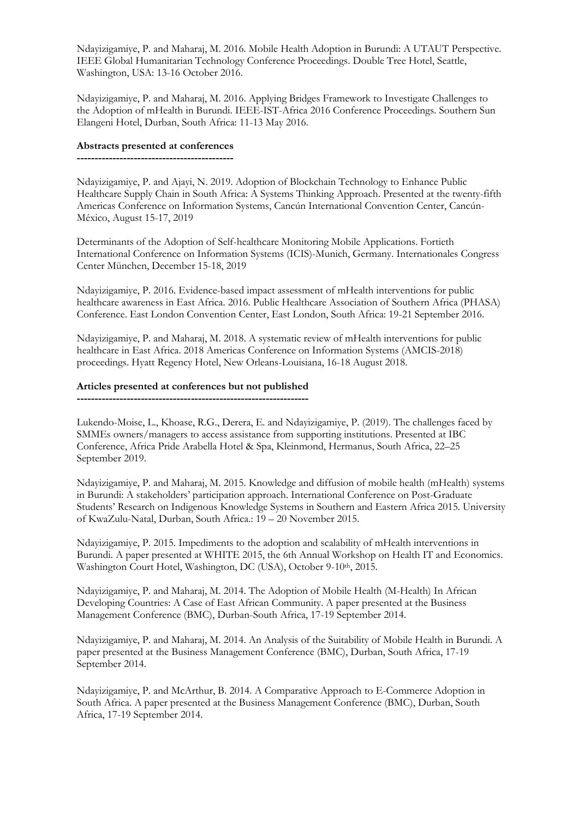Ndayizigamiye, P. and Maharaj, M. 2016. Mobile Health Adoption in Burundi: A UTAUT Perspective. IEEE Global Humanitarian Technology Conference Proceedings. Double Tree Hotel, Seattle, Washington, USA: 13-16 October 2016.

Ndayizigamiye, P. and Maharaj, M. 2016. Applying Bridges Framework to Investigate Challenges to the Adoption of mHealth in Burundi. IEEE-IST-Africa 2016 Conference Proceedings. Southern Sun Elangeni Hotel, Durban, South Africa: 11-13 May 2016.

#### **Abstracts presented at conferences**

**--------------------------------------------**

Ndayizigamiye, P. and Ajayi, N. 2019. Adoption of Blockchain Technology to Enhance Public Healthcare Supply Chain in South Africa: A Systems Thinking Approach. Presented at the twenty-fifth Americas Conference on Information Systems, Cancún International Convention Center, Cancún-México, August 15-17, 2019

Determinants of the Adoption of Self-healthcare Monitoring Mobile Applications. Fortieth International Conference on Information Systems (ICIS)-Munich, Germany. Internationales Congress Center München, December 15-18, 2019

Ndayizigamiye, P. 2016. Evidence-based impact assessment of mHealth interventions for public healthcare awareness in East Africa. 2016. Public Healthcare Association of Southern Africa (PHASA) Conference. East London Convention Center, East London, South Africa: 19-21 September 2016.

Ndayizigamiye, P. and Maharaj, M. 2018. A systematic review of mHealth interventions for public healthcare in East Africa. 2018 Americas Conference on Information Systems (AMCIS-2018) proceedings. Hyatt Regency Hotel, New Orleans-Louisiana, 16-18 August 2018.

#### **Articles presented at conferences but not published**

**-----------------------------------------------------------------**

Lukendo-Moise, L., Khoase, R.G., Derera, E. and Ndayizigamiye, P. (2019). The challenges faced by SMMEs owners/managers to access assistance from supporting institutions. Presented at IBC Conference, Africa Pride Arabella Hotel & Spa, Kleinmond, Hermanus, South Africa, 22–25 September 2019.

Ndayizigamiye, P. and Maharaj, M. 2015. Knowledge and diffusion of mobile health (mHealth) systems in Burundi: A stakeholders' participation approach. International Conference on Post-Graduate Students' Research on Indigenous Knowledge Systems in Southern and Eastern Africa 2015. University of KwaZulu-Natal, Durban, South Africa.: 19 – 20 November 2015.

Ndayizigamiye, P. 2015. Impediments to the adoption and scalability of mHealth interventions in Burundi. A paper presented at WHITE 2015, the 6th Annual Workshop on Health IT and Economics. Washington Court Hotel, Washington, DC (USA), October 9-10<sup>th</sup>, 2015.

Ndayizigamiye, P. and Maharaj, M. 2014. The Adoption of Mobile Health (M-Health) In African Developing Countries: A Case of East African Community. A paper presented at the Business Management Conference (BMC), Durban-South Africa, 17-19 September 2014.

Ndayizigamiye, P. and Maharaj, M. 2014. An Analysis of the Suitability of Mobile Health in Burundi. A paper presented at the Business Management Conference (BMC), Durban, South Africa, 17-19 September 2014.

Ndayizigamiye, P. and McArthur, B. 2014. A Comparative Approach to E-Commerce Adoption in South Africa. A paper presented at the Business Management Conference (BMC), Durban, South Africa, 17-19 September 2014.